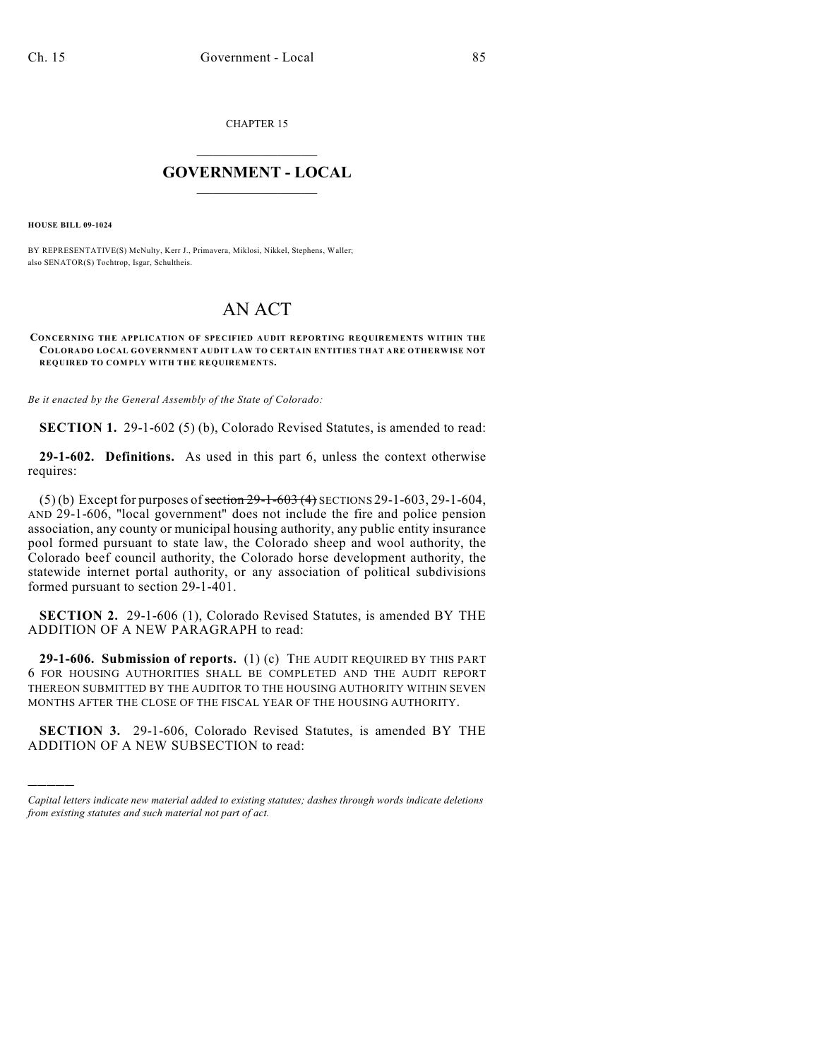CHAPTER 15

## $\mathcal{L}_\text{max}$  . The set of the set of the set of the set of the set of the set of the set of the set of the set of the set of the set of the set of the set of the set of the set of the set of the set of the set of the set **GOVERNMENT - LOCAL**  $\_$

**HOUSE BILL 09-1024**

)))))

BY REPRESENTATIVE(S) McNulty, Kerr J., Primavera, Miklosi, Nikkel, Stephens, Waller; also SENATOR(S) Tochtrop, Isgar, Schultheis.

## AN ACT

## **CONCERNING THE APPLICATION OF SPECIFIED AUDIT REPORTING REQUIREMENTS WITHIN THE COLORADO LOCAL GOVERNMENT AUDIT LAW TO CERTAIN ENTITIES THAT ARE OTHERWISE NOT** REQUIRED TO COMPLY WITH THE REQUIREMENTS.

*Be it enacted by the General Assembly of the State of Colorado:*

**SECTION 1.** 29-1-602 (5) (b), Colorado Revised Statutes, is amended to read:

**29-1-602. Definitions.** As used in this part 6, unless the context otherwise requires:

(5) (b) Except for purposes of section 29-1-603 (4) SECTIONS 29-1-603, 29-1-604, AND 29-1-606, "local government" does not include the fire and police pension association, any county or municipal housing authority, any public entity insurance pool formed pursuant to state law, the Colorado sheep and wool authority, the Colorado beef council authority, the Colorado horse development authority, the statewide internet portal authority, or any association of political subdivisions formed pursuant to section 29-1-401.

**SECTION 2.** 29-1-606 (1), Colorado Revised Statutes, is amended BY THE ADDITION OF A NEW PARAGRAPH to read:

**29-1-606. Submission of reports.** (1) (c) THE AUDIT REQUIRED BY THIS PART 6 FOR HOUSING AUTHORITIES SHALL BE COMPLETED AND THE AUDIT REPORT THEREON SUBMITTED BY THE AUDITOR TO THE HOUSING AUTHORITY WITHIN SEVEN MONTHS AFTER THE CLOSE OF THE FISCAL YEAR OF THE HOUSING AUTHORITY.

**SECTION 3.** 29-1-606, Colorado Revised Statutes, is amended BY THE ADDITION OF A NEW SUBSECTION to read:

*Capital letters indicate new material added to existing statutes; dashes through words indicate deletions from existing statutes and such material not part of act.*